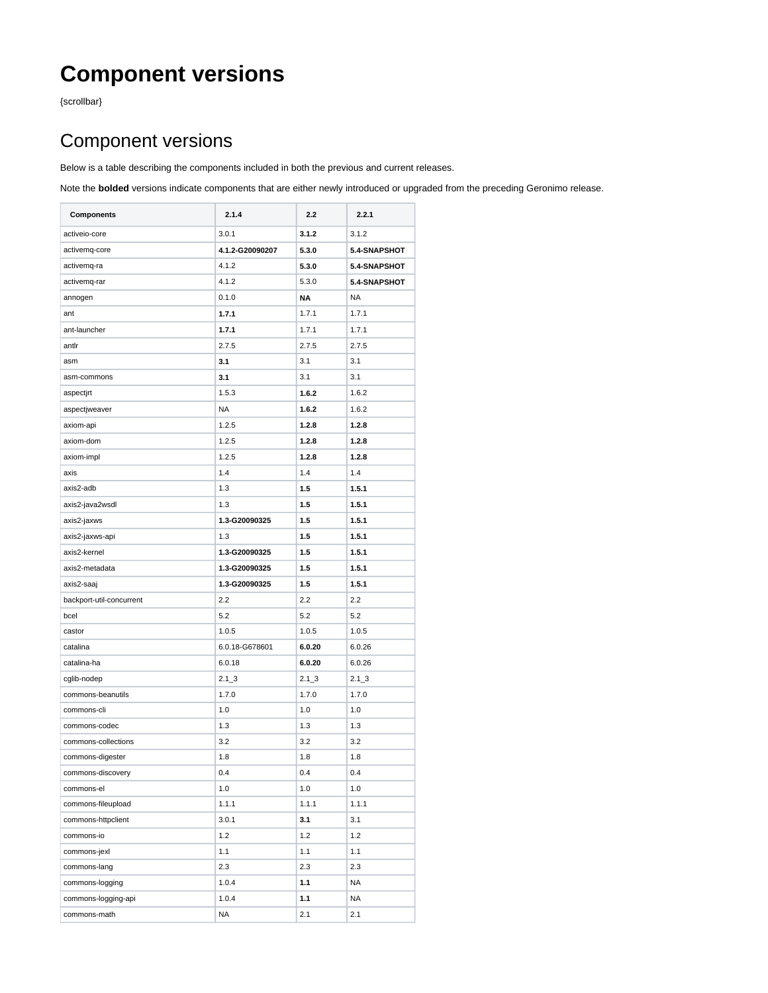## **Component versions**

{scrollbar}

## Component versions

Below is a table describing the components included in both the previous and current releases.

Note the **bolded** versions indicate components that are either newly introduced or upgraded from the preceding Geronimo release.

| <b>Components</b>        | 2.1.4           | 2.2       | 2.2.1        |
|--------------------------|-----------------|-----------|--------------|
| activeio-core            | 3.0.1           | 3.1.2     | 3.1.2        |
| activemq-core            | 4.1.2-G20090207 | 5.3.0     | 5.4-SNAPSHOT |
| activemq-ra              | 4.1.2           | 5.3.0     | 5.4-SNAPSHOT |
| activemg-rar             | 4.1.2           | 5.3.0     | 5.4-SNAPSHOT |
| annogen                  | 0.1.0           | <b>NA</b> | <b>NA</b>    |
| ant                      | 1.7.1           | 1.7.1     | 1.7.1        |
| ant-launcher             | 1.7.1           | 1.7.1     | 1.7.1        |
| antlr                    | 2.7.5           | 2.7.5     | 2.7.5        |
| asm                      | 3.1             | 3.1       | 3.1          |
| asm-commons              | 3.1             | 3.1       | 3.1          |
| aspectjrt                | 1.5.3           | 1.6.2     | 1.6.2        |
| aspectjweaver            | <b>NA</b>       | 1.6.2     | 1.6.2        |
| axiom-api                | 1.2.5           | 1.2.8     | 1.2.8        |
| axiom-dom                | 1.2.5           | 1.2.8     | 1.2.8        |
| axiom-impl               | 1.2.5           | 1.2.8     | 1.2.8        |
| axis                     | 1.4             | 1.4       | 1.4          |
| axis2-adb                | 1.3             | 1.5       | 1.5.1        |
| axis2-java2wsdl          | 1.3             | 1.5       | 1.5.1        |
| axis2-jaxws              | 1.3-G20090325   | 1.5       | 1.5.1        |
| axis2-jaxws-api          | 1.3             | 1.5       | 1.5.1        |
| axis2-kernel             | 1.3-G20090325   | 1.5       | 1.5.1        |
| axis2-metadata           | 1.3-G20090325   | 1.5       | 1.5.1        |
| axis2-saaj               | 1.3-G20090325   | 1.5       | 1.5.1        |
| backport-util-concurrent | 2.2             | 2.2       | 2.2          |
| bcel                     | 5.2             | 5.2       | 5.2          |
| castor                   | 1.0.5           | 1.0.5     | 1.0.5        |
| catalina                 | 6.0.18-G678601  | 6.0.20    | 6.0.26       |
| catalina-ha              | 6.0.18          | 6.0.20    | 6.0.26       |
| cglib-nodep              | $2.1 - 3$       | $2.1 - 3$ | $2.1 - 3$    |
| commons-beanutils        | 1.7.0           | 1.7.0     | 1.7.0        |
| commons-cli              | 1.0             | 1.0       | 1.0          |
| commons-codec            | 1.3             | 1.3       | 1.3          |
| commons-collections      | 3.2             | 3.2       | 3.2          |
| commons-digester         | 1.8             | 1.8       | 1.8          |
| commons-discovery        | 0.4             | 0.4       | 0.4          |
| commons-el               | 1.0             | 1.0       | 1.0          |
| commons-fileupload       | 1.1.1           | 1.1.1     | 1.1.1        |
| commons-httpclient       | 3.0.1           | 3.1       | 3.1          |
| commons-io               | 1.2             | 1.2       | 1.2          |
| commons-jexl             | 1.1             | 1.1       | 1.1          |
| commons-lang             | 2.3             | 2.3       | 2.3          |
| commons-logging          | 1.0.4           | 1.1       | NA           |
| commons-logging-api      | 1.0.4           | 1.1       | NA           |
| commons-math             | <b>NA</b>       | 2.1       | 2.1          |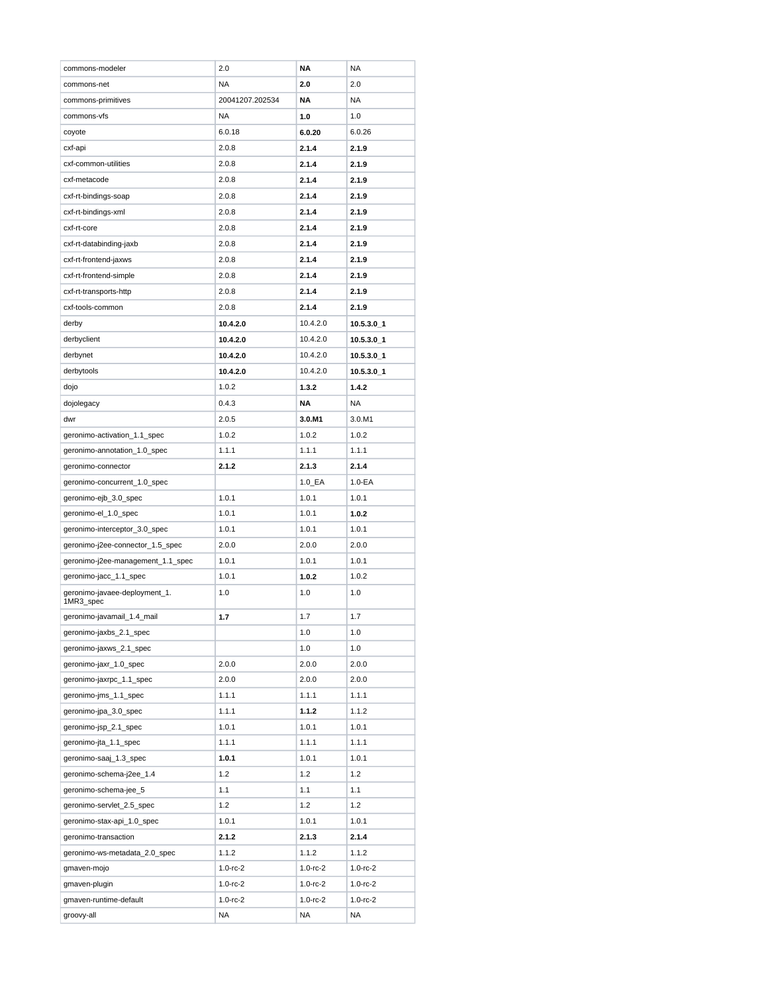| commons-modeler                            | 2.0             | ΝA             | NA             |
|--------------------------------------------|-----------------|----------------|----------------|
| commons-net                                | NA              | 2.0            | 2.0            |
| commons-primitives                         | 20041207.202534 | <b>NA</b>      | <b>NA</b>      |
| commons-vfs                                | <b>NA</b>       | 1.0            | 1.0            |
| coyote                                     | 6.0.18          | 6.0.20         | 6.0.26         |
| cxf-api                                    | 2.0.8           | 2.1.4          | 2.1.9          |
| cxf-common-utilities                       | 2.0.8           | 2.1.4          | 2.1.9          |
| cxf-metacode                               | 2.0.8           | 2.1.4          | 2.1.9          |
| cxf-rt-bindings-soap                       | 2.0.8           | 2.1.4          | 2.1.9          |
| cxf-rt-bindings-xml                        | 2.0.8           | 2.1.4          | 2.1.9          |
| cxf-rt-core                                | 2.0.8           | 2.1.4          | 2.1.9          |
| cxf-rt-databinding-jaxb                    | 2.0.8           | 2.1.4          | 2.1.9          |
| cxf-rt-frontend-jaxws                      | 2.0.8           | 2.1.4          | 2.1.9          |
| cxf-rt-frontend-simple                     | 2.0.8           | 2.1.4          | 2.1.9          |
| cxf-rt-transports-http                     | 2.0.8           | 2.1.4          | 2.1.9          |
| cxf-tools-common                           | 2.0.8           | 2.1.4          | 2.1.9          |
| derby                                      | 10.4.2.0        | 10.4.2.0       | 10.5.3.0_1     |
| derbyclient                                | 10.4.2.0        | 10.4.2.0       | 10.5.3.0_1     |
| derbynet                                   | 10.4.2.0        | 10.4.2.0       | 10.5.3.0_1     |
| derbytools                                 | 10.4.2.0        | 10.4.2.0       | 10.5.3.0 1     |
| dojo                                       | 1.0.2           | 1.3.2          | 1.4.2          |
| dojolegacy                                 | 0.4.3           | <b>NA</b>      | <b>NA</b>      |
| dwr                                        | 2.0.5           | 3.0.M1         | 3.0.M1         |
| geronimo-activation_1.1_spec               | 1.0.2           | 1.0.2          | 1.0.2          |
| geronimo-annotation_1.0_spec               | 1.1.1           | 1.1.1          | 1.1.1          |
| geronimo-connector                         | 2.1.2           | 2.1.3          | 2.1.4          |
| geronimo-concurrent_1.0_spec               |                 | $1.0$ EA       | $1.0 - EA$     |
| geronimo-ejb_3.0_spec                      | 1.0.1           | 1.0.1          | 1.0.1          |
| geronimo-el_1.0_spec                       | 1.0.1           | 1.0.1          | 1.0.2          |
| geronimo-interceptor_3.0_spec              | 1.0.1           | 1.0.1          | 1.0.1          |
| geronimo-j2ee-connector_1.5_spec           | 2.0.0           | 2.0.0          | 2.0.0          |
| geronimo-j2ee-management_1.1_spec          | 1.0.1           | 1.0.1          | 1.0.1          |
| geronimo-jacc_1.1_spec                     | 1.0.1           | 1.0.2          | 1.0.2          |
| geronimo-javaee-deployment_1.<br>1MR3_spec | 1.0             | 1.0            | 1.0            |
| geronimo-javamail_1.4_mail                 | 1.7             | 1.7            | 1.7            |
| geronimo-jaxbs_2.1_spec                    |                 | 1.0            | 1.0            |
| geronimo-jaxws 2.1 spec                    |                 | 1.0            | 1.0            |
| geronimo-jaxr_1.0_spec                     | 2.0.0           | 2.0.0          | 2.0.0          |
| geronimo-jaxrpc_1.1_spec                   | 2.0.0           | 2.0.0          | 2.0.0          |
| geronimo-jms_1.1_spec                      | 1.1.1           | 1.1.1          | 1.1.1          |
| geronimo-jpa_3.0_spec                      | 1.1.1           | 1.1.2          | 1.1.2          |
| geronimo-jsp 2.1 spec                      | 1.0.1           | 1.0.1          | 1.0.1          |
| geronimo-jta_1.1_spec                      | 1.1.1           | 1.1.1          | 1.1.1          |
| geronimo-saaj 1.3 spec                     | 1.0.1           | 1.0.1          | 1.0.1          |
| geronimo-schema-j2ee_1.4                   | 1.2             | 1.2            | 1.2            |
| geronimo-schema-jee_5                      | 1.1             | 1.1            | 1.1            |
| geronimo-servlet_2.5_spec                  | 1.2             | 1.2            | 1.2            |
| geronimo-stax-api_1.0_spec                 | 1.0.1           | 1.0.1          | 1.0.1          |
| geronimo-transaction                       | 2.1.2           | 2.1.3          | 2.1.4          |
| geronimo-ws-metadata_2.0_spec              | 1.1.2           | 1.1.2          | 1.1.2          |
| gmaven-mojo                                | $1.0 - rc - 2$  | $1.0 - rc - 2$ | $1.0 - rc - 2$ |
| gmaven-plugin                              | $1.0 - rc - 2$  | $1.0 - rc - 2$ | $1.0 - rc - 2$ |
| gmaven-runtime-default                     | $1.0 - rc - 2$  | $1.0 - rc - 2$ | $1.0 - rc - 2$ |
| groovy-all                                 | NA              | NA             | NA             |

 $\overline{\phantom{a}}$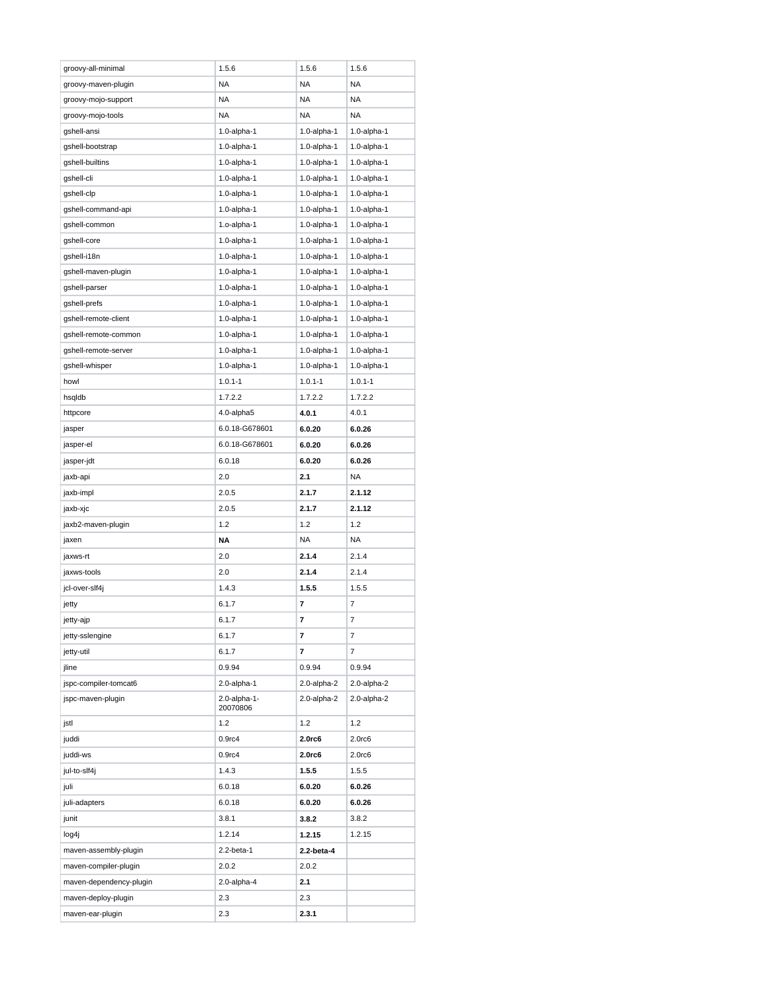| groovy-all-minimal      | 1.5.6                    | 1.5.6              | 1.5.6              |
|-------------------------|--------------------------|--------------------|--------------------|
| groovy-maven-plugin     | <b>NA</b>                | <b>NA</b>          | <b>NA</b>          |
| groovy-mojo-support     | <b>NA</b>                | NA                 | <b>NA</b>          |
| groovy-mojo-tools       | NA                       | NA                 | <b>NA</b>          |
| gshell-ansi             | $1.0$ -alpha-1           | $1.0$ -alpha-1     | $1.0$ -alpha-1     |
| gshell-bootstrap        | $1.0$ -alpha-1           | 1.0-alpha-1        | 1.0-alpha-1        |
| gshell-builtins         | $1.0$ -alpha-1           | $1.0$ -alpha-1     | $1.0$ -alpha-1     |
| gshell-cli              | $1.0$ -alpha-1           | $1.0$ -alpha-1     | $1.0$ -alpha-1     |
| gshell-clp              | $1.0$ -alpha-1           | 1.0-alpha-1        | $1.0$ -alpha-1     |
| gshell-command-api      | $1.0$ -alpha-1           | $1.0$ -alpha-1     | $1.0$ -alpha-1     |
| gshell-common           | 1.o-alpha-1              | 1.0-alpha-1        | 1.0-alpha-1        |
| gshell-core             | $1.0$ -alpha-1           | 1.0-alpha-1        | 1.0-alpha-1        |
| gshell-i18n             | $1.0$ -alpha-1           | 1.0-alpha-1        | $1.0$ -alpha-1     |
| gshell-maven-plugin     | $1.0$ -alpha-1           | 1.0-alpha-1        | $1.0$ -alpha-1     |
| gshell-parser           | $1.0$ -alpha-1           | 1.0-alpha-1        | $1.0$ -alpha-1     |
| gshell-prefs            | $1.0$ -alpha-1           | 1.0-alpha-1        | $1.0$ -alpha-1     |
| gshell-remote-client    | $1.0$ -alpha-1           | 1.0-alpha-1        | $1.0$ -alpha-1     |
| gshell-remote-common    | $1.0$ -alpha-1           | 1.0-alpha-1        | $1.0$ -alpha-1     |
| gshell-remote-server    | $1.0$ -alpha-1           | $1.0$ -alpha-1     | $1.0$ -alpha-1     |
| gshell-whisper          | $1.0$ -alpha-1           | $1.0$ -alpha-1     | $1.0$ -alpha-1     |
| howl                    | $1.0.1 - 1$              | $1.0.1 - 1$        | $1.0.1 - 1$        |
| hsqldb                  | 1.7.2.2                  | 1.7.2.2            | 1.7.2.2            |
| httpcore                | 4.0-alpha5               | 4.0.1              | 4.0.1              |
| jasper                  | 6.0.18-G678601           | 6.0.20             | 6.0.26             |
| jasper-el               | 6.0.18-G678601           | 6.0.20             | 6.0.26             |
| jasper-jdt              | 6.0.18                   | 6.0.20             | 6.0.26             |
| jaxb-api                | 2.0                      | 2.1                | NA                 |
| jaxb-impl               | 2.0.5                    | 2.1.7              | 2.1.12             |
|                         |                          |                    |                    |
| jaxb-xjc                | 2.0.5                    | 2.1.7              | 2.1.12             |
| jaxb2-maven-plugin      | 1.2                      | 1.2                | 1.2                |
| jaxen                   | ΝA                       | NA                 | NA                 |
| jaxws-rt                | 2.0                      | 2.1.4              | 2.1.4              |
| jaxws-tools             | 2.0                      | 2.1.4              | 2.1.4              |
| jcl-over-slf4j          | 1.4.3                    | 1.5.5              | 1.5.5              |
| jetty                   | 6.1.7                    | 7                  | 7                  |
| jetty-ajp               | 6.1.7                    | 7                  | 7                  |
| jetty-sslengine         | 6.1.7                    | 7                  | 7                  |
| jetty-util              | 6.1.7                    | 7                  | 7                  |
| jline                   | 0.9.94                   | 0.9.94             | 0.9.94             |
| jspc-compiler-tomcat6   | 2.0-alpha-1              | 2.0-alpha-2        | 2.0-alpha-2        |
| jspc-maven-plugin       | 2.0-alpha-1-<br>20070806 | 2.0-alpha-2        | 2.0-alpha-2        |
| jstl                    | 1.2                      | 1.2                | 1.2                |
| juddi                   | 0.9 <sub>rc4</sub>       | 2.0 <sub>rc6</sub> | 2.0 <sub>rc6</sub> |
| juddi-ws                | 0.9 <sub>rc4</sub>       | 2.0 <sub>rc6</sub> | 2.0 <sub>rc6</sub> |
| jul-to-slf4j            | 1.4.3                    | 1.5.5              | 1.5.5              |
| juli                    | 6.0.18                   | 6.0.20             | 6.0.26             |
| juli-adapters           | 6.0.18                   | 6.0.20             | 6.0.26             |
| junit                   | 3.8.1                    | 3.8.2              | 3.8.2              |
| log4j                   | 1.2.14                   | 1.2.15             | 1.2.15             |
| maven-assembly-plugin   | $2.2$ -beta-1            | 2.2-beta-4         |                    |
| maven-compiler-plugin   | 2.0.2                    | 2.0.2              |                    |
| maven-dependency-plugin | 2.0-alpha-4              | 2.1                |                    |
| maven-deploy-plugin     | 2.3                      | 2.3                |                    |
| maven-ear-plugin        | 2.3                      | 2.3.1              |                    |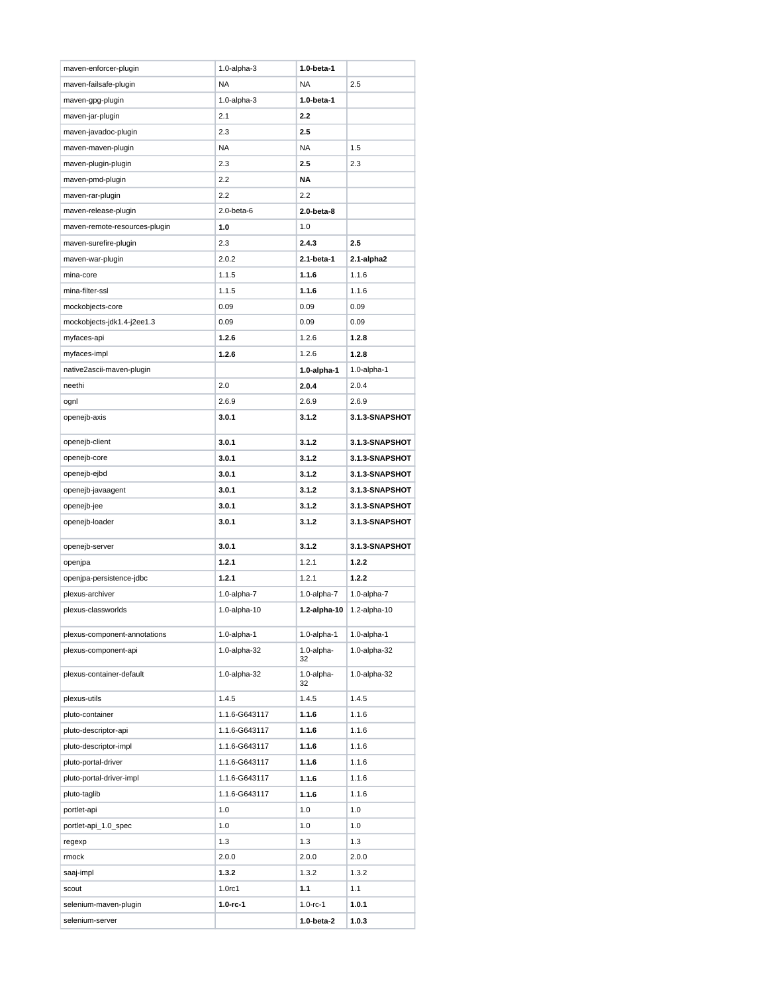| maven-enforcer-plugin         | $1.0$ -alpha- $3$  | 1.0-beta-1        |                   |
|-------------------------------|--------------------|-------------------|-------------------|
| maven-failsafe-plugin         | <b>NA</b>          | <b>NA</b>         | 2.5               |
| maven-gpg-plugin              | $1.0$ -alpha- $3$  | $1.0$ -beta-1     |                   |
| maven-jar-plugin              | 2.1                | 2.2               |                   |
| maven-javadoc-plugin          | 2.3                | 2.5               |                   |
| maven-maven-plugin            | <b>NA</b>          | <b>NA</b>         | 1.5               |
| maven-plugin-plugin           | 2.3                | 2.5               | 2.3               |
| maven-pmd-plugin              | 2.2                | <b>NA</b>         |                   |
| maven-rar-plugin              | 2.2                | 2.2               |                   |
| maven-release-plugin          | $2.0$ -beta- $6$   | $2.0$ -beta-8     |                   |
| maven-remote-resources-plugin | 1.0                | 1.0               |                   |
| maven-surefire-plugin         | 2.3                | 2.4.3             | 2.5               |
| maven-war-plugin              | 2.0.2              | 2.1-beta-1        | 2.1-alpha2        |
| mina-core                     | 1.1.5              | 1.1.6             | 1.1.6             |
| mina-filter-ssl               | 1.1.5              | 1.1.6             | 1.1.6             |
| mockobjects-core              | 0.09               | 0.09              | 0.09              |
| mockobjects-jdk1.4-j2ee1.3    | 0.09               | 0.09              | 0.09              |
| myfaces-api                   | 1.2.6              | 1.2.6             | 1.2.8             |
| myfaces-impl                  | 1.2.6              | 1.2.6             | 1.2.8             |
| native2ascii-maven-plugin     |                    | 1.0-alpha-1       | $1.0$ -alpha-1    |
| neethi                        | 2.0                | 2.0.4             | 2.0.4             |
| ognl                          | 2.6.9              | 2.6.9             | 2.6.9             |
| openejb-axis                  | 3.0.1              | 3.1.2             | 3.1.3-SNAPSHOT    |
| openejb-client                | 3.0.1              | 3.1.2             | 3.1.3-SNAPSHOT    |
| openejb-core                  | 3.0.1              | 3.1.2             | 3.1.3-SNAPSHOT    |
| openejb-ejbd                  | 3.0.1              | 3.1.2             | 3.1.3-SNAPSHOT    |
| openejb-javaagent             | 3.0.1              | 3.1.2             | 3.1.3-SNAPSHOT    |
| openejb-jee                   | 3.0.1              | 3.1.2             | 3.1.3-SNAPSHOT    |
| openejb-loader                | 3.0.1              | 3.1.2             | 3.1.3-SNAPSHOT    |
| openejb-server                | 3.0.1              | 3.1.2             | 3.1.3-SNAPSHOT    |
| openjpa                       | 1.2.1              | 1.2.1             | 1.2.2             |
| openjpa-persistence-jdbc      | 1.2.1              | 1.2.1             | 1.2.2             |
| plexus-archiver               | 1.0-alpha-7        | $1.0$ -alpha- $7$ | $1.0$ -alpha- $7$ |
| plexus-classworlds            | 1.0-alpha-10       | 1.2-alpha-10      | 1.2-alpha-10      |
| plexus-component-annotations  | $1.0$ -alpha-1     | 1.0-alpha-1       | $1.0$ -alpha-1    |
| plexus-component-api          | 1.0-alpha-32       | 1.0-alpha-<br>32  | 1.0-alpha-32      |
| plexus-container-default      | 1.0-alpha-32       | 1.0-alpha-<br>32  | $1.0$ -alpha-32   |
| plexus-utils                  | 1.4.5              | 1.4.5             | 1.4.5             |
| pluto-container               | 1.1.6-G643117      | 1.1.6             | 1.1.6             |
| pluto-descriptor-api          | 1.1.6-G643117      | 1.1.6             | 1.1.6             |
| pluto-descriptor-impl         | 1.1.6-G643117      | 1.1.6             | 1.1.6             |
| pluto-portal-driver           | 1.1.6-G643117      | 1.1.6             | 1.1.6             |
| pluto-portal-driver-impl      | 1.1.6-G643117      | 1.1.6             | 1.1.6             |
| pluto-taglib                  | 1.1.6-G643117      | 1.1.6             | 1.1.6             |
| portlet-api                   | 1.0                | 1.0               | 1.0               |
| portlet-api_1.0_spec          | 1.0                | 1.0               | 1.0               |
| regexp                        | 1.3                | 1.3               | 1.3               |
| rmock                         | 2.0.0              | 2.0.0             | 2.0.0             |
| saaj-impl                     | 1.3.2              | 1.3.2             | 1.3.2             |
| scout                         | 1.0 <sub>rc1</sub> | 1.1               | 1.1               |
| selenium-maven-plugin         | 1.0-rc-1           | $1.0 - rc - 1$    | 1.0.1             |
| selenium-server               |                    | 1.0-beta-2        | 1.0.3             |
|                               |                    |                   |                   |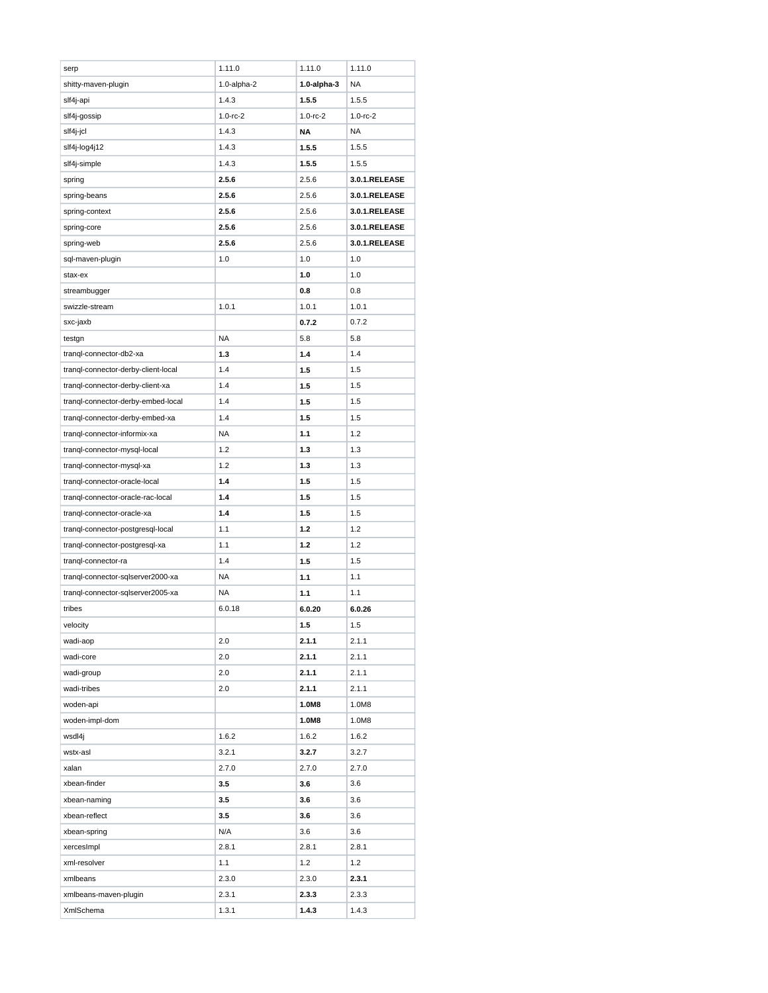| serp                                | 1.11.0         | 1.11.0            | 1.11.0         |
|-------------------------------------|----------------|-------------------|----------------|
| shitty-maven-plugin                 | $1.0$ -alpha-2 | $1.0$ -alpha- $3$ | <b>NA</b>      |
| slf4j-api                           | 1.4.3          | 1.5.5             | 1.5.5          |
| slf4j-gossip                        | $1.0 - rc - 2$ | $1.0 - rc - 2$    | $1.0 - rc - 2$ |
| slf4j-jcl                           | 1.4.3          | ΝA                | <b>NA</b>      |
| slf4j-log4j12                       | 1.4.3          | 1.5.5             | 1.5.5          |
| slf4j-simple                        | 1.4.3          | 1.5.5             | 1.5.5          |
| spring                              | 2.5.6          | 2.5.6             | 3.0.1.RELEASE  |
| spring-beans                        | 2.5.6          | 2.5.6             | 3.0.1.RELEASE  |
| spring-context                      | 2.5.6          | 2.5.6             | 3.0.1.RELEASE  |
| spring-core                         | 2.5.6          | 2.5.6             | 3.0.1.RELEASE  |
| spring-web                          | 2.5.6          | 2.5.6             | 3.0.1.RELEASE  |
| sql-maven-plugin                    | 1.0            | 1.0               | 1.0            |
| stax-ex                             |                | 1.0               | 1.0            |
| streambugger                        |                | 0.8               | 0.8            |
| swizzle-stream                      | 1.0.1          | 1.0.1             | 1.0.1          |
| sxc-jaxb                            |                | 0.7.2             | 0.7.2          |
| testgn                              | <b>NA</b>      | 5.8               | 5.8            |
| trangl-connector-db2-xa             | 1.3            | 1.4               | 1.4            |
| tranql-connector-derby-client-local | 1.4            | 1.5               | 1.5            |
| tranql-connector-derby-client-xa    | 1.4            | 1.5               | 1.5            |
| tranql-connector-derby-embed-local  | 1.4            | 1.5               | 1.5            |
| tranql-connector-derby-embed-xa     | 1.4            | 1.5               | 1.5            |
| tranql-connector-informix-xa        | NA             | 1.1               | 1.2            |
| tranql-connector-mysql-local        | 1.2            | 1.3               | 1.3            |
| trangl-connector-mysgl-xa           | 1.2            | 1.3               | 1.3            |
| trangl-connector-oracle-local       | 1.4            | 1.5               | 1.5            |
| trangl-connector-oracle-rac-local   | 1.4            | 1.5               | 1.5            |
| tranql-connector-oracle-xa          | 1.4            | 1.5               | 1.5            |
| tranql-connector-postgresql-local   | 1.1            | 1.2               | 1.2            |
| tranql-connector-postgresql-xa      | 1.1            | 1.2               | 1.2            |
| trangl-connector-ra                 | 1.4            | 1.5               | 1.5            |
| tranql-connector-sqlserver2000-xa   | <b>NA</b>      | 1.1               | 1.1            |
| trangl-connector-sglserver2005-xa   | <b>NA</b>      | 1.1               | 1.1            |
| tribes                              | 6.0.18         | 6.0.20            | 6.0.26         |
| velocity                            |                | 1.5               | 1.5            |
| wadi-aop                            | 2.0            | 2.1.1             | 2.1.1          |
| wadi-core                           | 2.0            | 2.1.1             | 2.1.1          |
| wadi-group                          | 2.0            | 2.1.1             | 2.1.1          |
| wadi-tribes                         | 2.0            | 2.1.1             | 2.1.1          |
| woden-api                           |                | 1.0M8             | 1.0M8          |
| woden-impl-dom                      |                | 1.0M8             | 1.0M8          |
| wsdl4j                              | 1.6.2          | 1.6.2             | 1.6.2          |
| wstx-asl                            | 3.2.1          | 3.2.7             | 3.2.7          |
| xalan                               | 2.7.0          | 2.7.0             | 2.7.0          |
| xbean-finder                        | 3.5            | 3.6               | 3.6            |
| xbean-naming                        | 3.5            | 3.6               | 3.6            |
| xbean-reflect                       | 3.5            | 3.6               | 3.6            |
| xbean-spring                        | N/A            | 3.6               | 3.6            |
| xercesImpl                          | 2.8.1          | 2.8.1             | 2.8.1          |
| xml-resolver                        | 1.1            | 1.2               | 1.2            |
| xmlbeans                            | 2.3.0          | 2.3.0             | 2.3.1          |
| xmlbeans-maven-plugin               | 2.3.1          | 2.3.3             | 2.3.3          |
| XmlSchema                           | 1.3.1          | 1.4.3             | 1.4.3          |